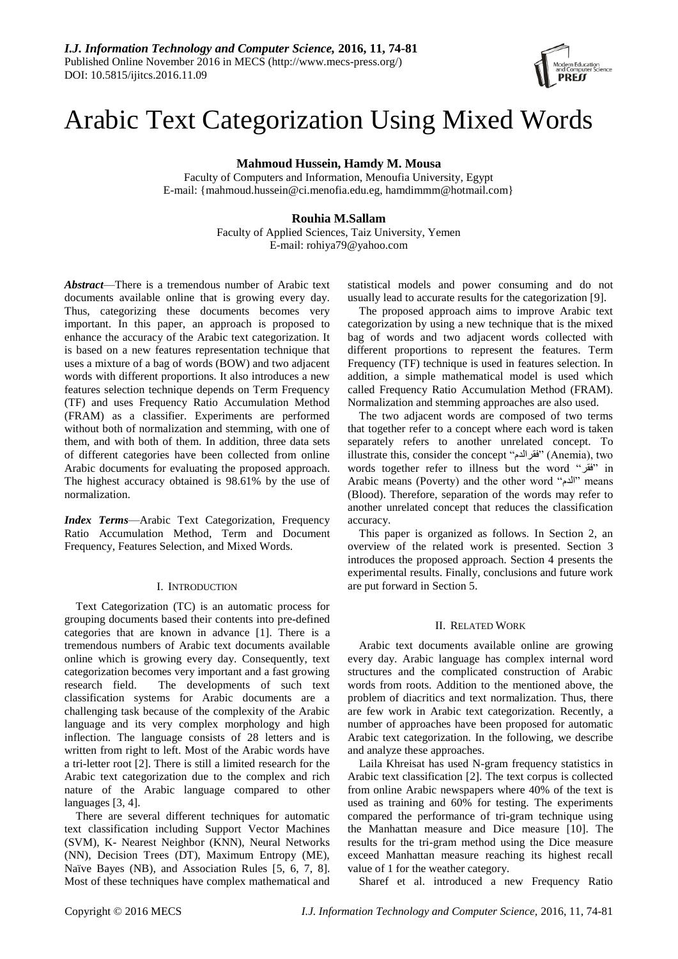# Arabic Text Categorization Using Mixed Words

**Mahmoud Hussein, Hamdy M. Mousa**

Faculty of Computers and Information, Menoufia University, Egypt E-mail: {mahmoud.hussein@ci.menofia.edu.eg, hamdimmm@hotmail.com}

# **Rouhia M.Sallam**

Faculty of Applied Sciences, Taiz University, Yemen E-mail: rohiya79@yahoo.com

*Abstract*—There is a tremendous number of Arabic text documents available online that is growing every day. Thus, categorizing these documents becomes very important. In this paper, an approach is proposed to enhance the accuracy of the Arabic text categorization. It is based on a new features representation technique that uses a mixture of a bag of words (BOW) and two adjacent words with different proportions. It also introduces a new features selection technique depends on Term Frequency (TF) and uses Frequency Ratio Accumulation Method (FRAM) as a classifier. Experiments are performed without both of normalization and stemming, with one of them, and with both of them. In addition, three data sets of different categories have been collected from online Arabic documents for evaluating the proposed approach. The highest accuracy obtained is 98.61% by the use of normalization.

*Index Terms*—Arabic Text Categorization, Frequency Ratio Accumulation Method, Term and Document Frequency, Features Selection, and Mixed Words.

#### I. INTRODUCTION

Text Categorization (TC) is an automatic process for grouping documents based their contents into pre-defined categories that are known in advance [1]. There is a tremendous numbers of Arabic text documents available online which is growing every day. Consequently, text categorization becomes very important and a fast growing research field. The developments of such text classification systems for Arabic documents are a challenging task because of the complexity of the Arabic language and its very complex morphology and high inflection. The language consists of 28 letters and is written from right to left. Most of the Arabic words have a tri-letter root [2]. There is still a limited research for the Arabic text categorization due to the complex and rich nature of the Arabic language compared to other languages [3, 4].

There are several different techniques for automatic text classification including Support Vector Machines (SVM), K- Nearest Neighbor (KNN), Neural Networks (NN), Decision Trees (DT), Maximum Entropy (ME), Naïve Bayes (NB), and Association Rules [5, 6, 7, 8]. Most of these techniques have complex mathematical and statistical models and power consuming and do not usually lead to accurate results for the categorization [9].

The proposed approach aims to improve Arabic text categorization by using a new technique that is the mixed bag of words and two adjacent words collected with different proportions to represent the features. Term Frequency (TF) technique is used in features selection. In addition, a simple mathematical model is used which called Frequency Ratio Accumulation Method (FRAM). Normalization and stemming approaches are also used.

The two adjacent words are composed of two terms that together refer to a concept where each word is taken separately refers to another unrelated concept. To illustrate this, consider the concept "فقرالدم" (Anemia), two words together refer to illness but the word "فقر "in Arabic means (Poverty) and the other word "الدم "means (Blood). Therefore, separation of the words may refer to another unrelated concept that reduces the classification accuracy.

This paper is organized as follows. In Section 2, an overview of the related work is presented. Section 3 introduces the proposed approach. Section 4 presents the experimental results. Finally, conclusions and future work are put forward in Section 5.

#### II. RELATED WORK

Arabic text documents available online are growing every day. Arabic language has complex internal word structures and the complicated construction of Arabic words from roots. Addition to the mentioned above, the problem of diacritics and text normalization. Thus, there are few work in Arabic text categorization. Recently, a number of approaches have been proposed for automatic Arabic text categorization. In the following, we describe and analyze these approaches.

Laila Khreisat has used N-gram frequency statistics in Arabic text classification [2]. The text corpus is collected from online Arabic newspapers where 40% of the text is used as training and 60% for testing. The experiments compared the performance of tri-gram technique using the Manhattan measure and Dice measure [10]. The results for the tri-gram method using the Dice measure exceed Manhattan measure reaching its highest recall value of 1 for the weather category.

Sharef et al. introduced a new Frequency Ratio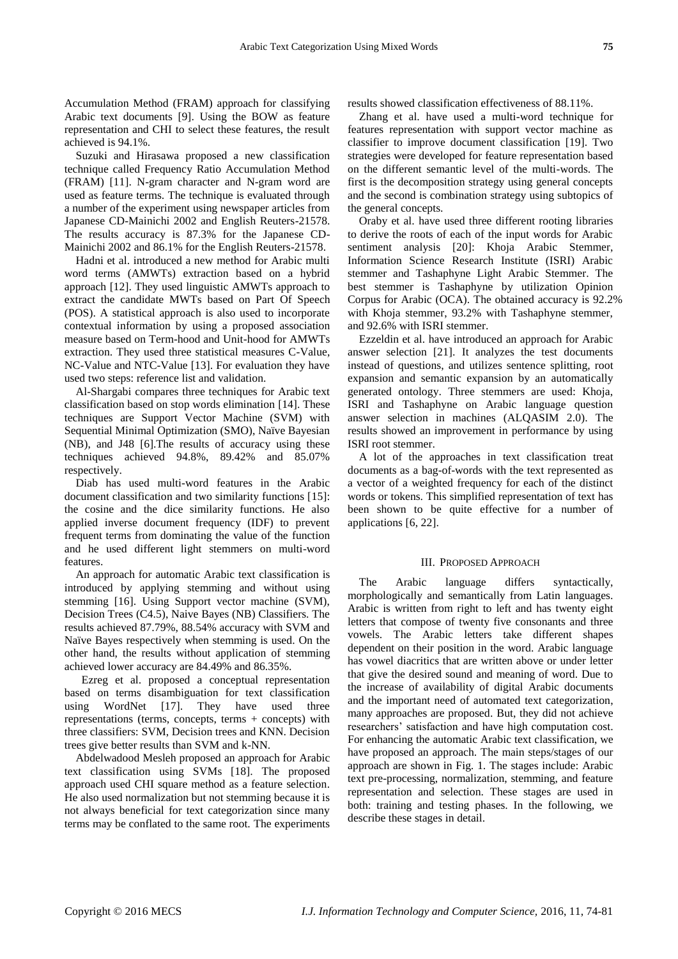Accumulation Method (FRAM) approach for classifying Arabic text documents [9]. Using the BOW as feature representation and CHI to select these features, the result achieved is 94.1%.

Suzuki and Hirasawa proposed a new classification technique called Frequency Ratio Accumulation Method (FRAM) [11]. N-gram character and N-gram word are used as feature terms. The technique is evaluated through a number of the experiment using newspaper articles from Japanese CD-Mainichi 2002 and English Reuters-21578. The results accuracy is 87.3% for the Japanese CD-Mainichi 2002 and 86.1% for the English Reuters-21578.

Hadni et al. introduced a new method for Arabic multi word terms (AMWTs) extraction based on a hybrid approach [12]. They used linguistic AMWTs approach to extract the candidate MWTs based on Part Of Speech (POS). A statistical approach is also used to incorporate contextual information by using a proposed association measure based on Term-hood and Unit-hood for AMWTs extraction. They used three statistical measures C-Value, NC-Value and NTC-Value [13]. For evaluation they have used two steps: reference list and validation.

Al-Shargabi compares three techniques for Arabic text classification based on stop words elimination [14]. These techniques are Support Vector Machine (SVM) with Sequential Minimal Optimization (SMO), Na we Bayesian (NB), and J48 [6].The results of accuracy using these techniques achieved 94.8%, 89.42% and 85.07% respectively.

Diab has used multi-word features in the Arabic document classification and two similarity functions [15]: the cosine and the dice similarity functions. He also applied inverse document frequency (IDF) to prevent frequent terms from dominating the value of the function and he used different light stemmers on multi-word features.

An approach for automatic Arabic text classification is introduced by applying stemming and without using stemming [16]. Using Support vector machine (SVM), Decision Trees (C4.5), Naive Bayes (NB) Classifiers. The results achieved 87.79%, 88.54% accuracy with SVM and Na ïve Bayes respectively when stemming is used. On the other hand, the results without application of stemming achieved lower accuracy are 84.49% and 86.35%.

 Ezreg et al. proposed a conceptual representation based on terms disambiguation for text classification using WordNet [17]. They have used three representations (terms, concepts, terms + concepts) with three classifiers: SVM, Decision trees and KNN. Decision trees give better results than SVM and k-NN.

Abdelwadood Mesleh proposed an approach for Arabic text classification using SVMs [18]. The proposed approach used CHI square method as a feature selection. He also used normalization but not stemming because it is not always beneficial for text categorization since many terms may be conflated to the same root. The experiments results showed classification effectiveness of 88.11%.

Zhang et al. have used a multi-word technique for features representation with support vector machine as classifier to improve document classification [19]. Two strategies were developed for feature representation based on the different semantic level of the multi-words. The first is the decomposition strategy using general concepts and the second is combination strategy using subtopics of the general concepts.

Oraby et al. have used three different rooting libraries to derive the roots of each of the input words for Arabic sentiment analysis [20]: Khoja Arabic Stemmer, Information Science Research Institute (ISRI) Arabic stemmer and Tashaphyne Light Arabic Stemmer. The best stemmer is Tashaphyne by utilization Opinion Corpus for Arabic (OCA). The obtained accuracy is 92.2% with Khoja stemmer, 93.2% with Tashaphyne stemmer, and 92.6% with ISRI stemmer.

Ezzeldin et al. have introduced an approach for Arabic answer selection [21]. It analyzes the test documents instead of questions, and utilizes sentence splitting, root expansion and semantic expansion by an automatically generated ontology. Three stemmers are used: Khoja, ISRI and Tashaphyne on Arabic language question answer selection in machines (ALQASIM 2.0). The results showed an improvement in performance by using ISRI root stemmer.

A lot of the approaches in text classification treat documents as a bag-of-words with the text represented as a vector of a weighted frequency for each of the distinct words or tokens. This simplified representation of text has been shown to be quite effective for a number of applications [6, 22].

#### III. PROPOSED APPROACH

The Arabic language differs syntactically, morphologically and semantically from Latin languages. Arabic is written from right to left and has twenty eight letters that compose of twenty five consonants and three vowels. The Arabic letters take different shapes dependent on their position in the word. Arabic language has vowel diacritics that are written above or under letter that give the desired sound and meaning of word. Due to the increase of availability of digital Arabic documents and the important need of automated text categorization, many approaches are proposed. But, they did not achieve researchers' satisfaction and have high computation cost. For enhancing the automatic Arabic text classification, we have proposed an approach. The main steps/stages of our approach are shown in Fig. 1. The stages include: Arabic text pre-processing, normalization, stemming, and feature representation and selection. These stages are used in both: training and testing phases. In the following, we describe these stages in detail.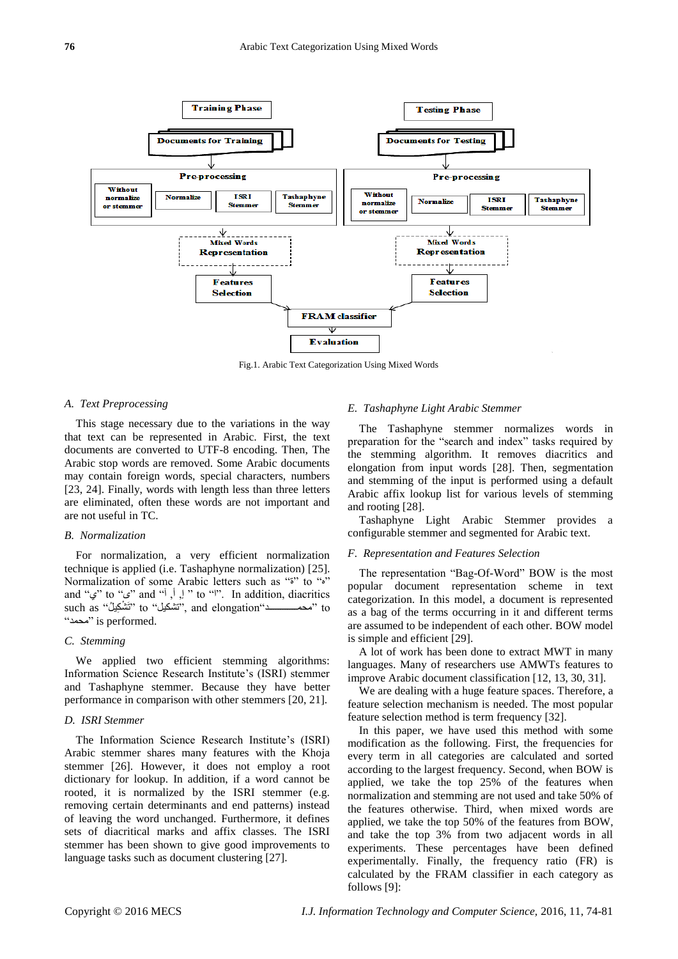

Fig.1. Arabic Text Categorization Using Mixed Words

## *A. Text Preprocessing*

This stage necessary due to the variations in the way that text can be represented in Arabic. First, the text documents are converted to UTF-8 encoding. Then, The Arabic stop words are removed. Some Arabic documents may contain foreign words, special characters, numbers [23, 24]. Finally, words with length less than three letters are eliminated, often these words are not important and are not useful in TC.

### *B. Normalization*

For normalization, a very efficient normalization technique is applied (i.e. Tashaphyne normalization) [25]. Normalization of some Arabic letters such as ""<sup>\*</sup>" to " and " $\mathcal{L}$ " to " $\mathcal{L}$ " and " $\mathcal{L}$ ,  $\mathcal{L}$ , "to "". In addition, diacritics such as "تَشْكِيلْ" to "تَشْكِيل" to " تَشْكِيل" such as " تَشْكِيل" such as " "محمد "is performed.

## *C. Stemming*

We applied two efficient stemming algorithms: Information Science Research Institute's (ISRI) stemmer and Tashaphyne stemmer. Because they have better performance in comparison with other stemmers [20, 21].

## *D. ISRI Stemmer*

The Information Science Research Institute's (ISRI) Arabic stemmer shares many features with the Khoja stemmer [26]. However, it does not employ a root dictionary for lookup. In addition, if a word cannot be rooted, it is normalized by the ISRI stemmer (e.g. removing certain determinants and end patterns) instead of leaving the word unchanged. Furthermore, it defines sets of diacritical marks and affix classes. The ISRI stemmer has been shown to give good improvements to language tasks such as document clustering [27].

#### *E. Tashaphyne Light Arabic Stemmer*

The Tashaphyne stemmer normalizes words in preparation for the "search and index" tasks required by the stemming algorithm. It removes diacritics and elongation from input words [28]. Then, segmentation and stemming of the input is performed using a default Arabic affix lookup list for various levels of stemming and rooting [28].

Tashaphyne Light Arabic Stemmer provides a configurable stemmer and segmented for Arabic text.

## *F. Representation and Features Selection*

The representation "Bag-Of-Word" BOW is the most popular document representation scheme in text categorization. In this model, a document is represented as a bag of the terms occurring in it and different terms are assumed to be independent of each other. BOW model is simple and efficient [29].

A lot of work has been done to extract MWT in many languages. Many of researchers use AMWTs features to improve Arabic document classification [12, 13, 30, 31].

We are dealing with a huge feature spaces. Therefore, a feature selection mechanism is needed. The most popular feature selection method is term frequency [32].

In this paper, we have used this method with some modification as the following. First, the frequencies for every term in all categories are calculated and sorted according to the largest frequency. Second, when BOW is applied, we take the top 25% of the features when normalization and stemming are not used and take 50% of the features otherwise. Third, when mixed words are applied, we take the top 50% of the features from BOW, and take the top 3% from two adjacent words in all experiments. These percentages have been defined experimentally. Finally, the frequency ratio (FR) is calculated by the FRAM classifier in each category as follows [9]: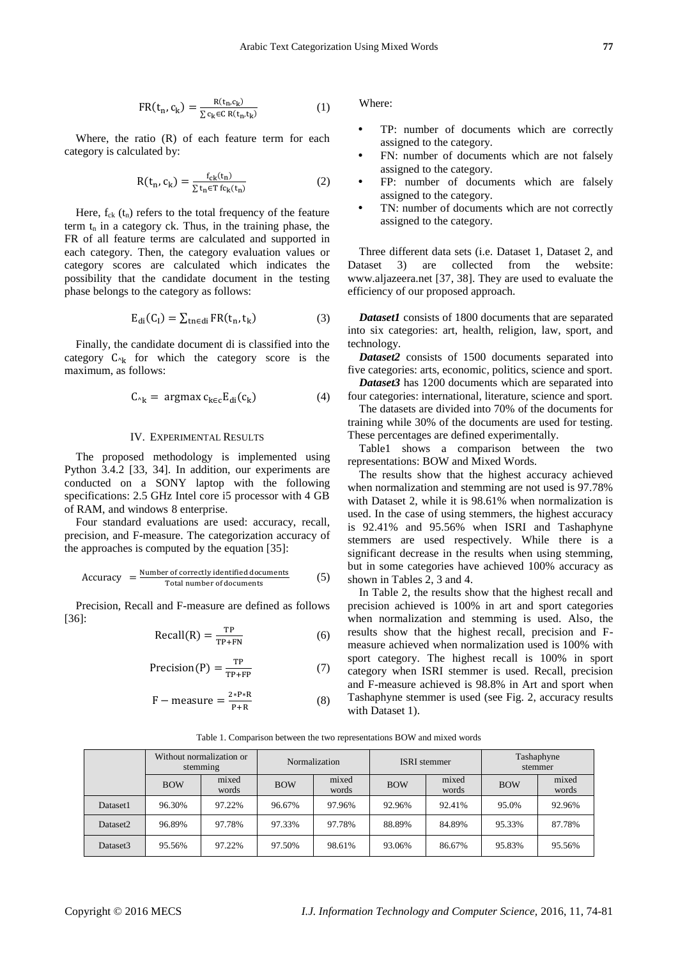$$
FR(t_n, c_k) = \frac{R(t_n, c_k)}{\sum c_k \in C R(t_n, t_k)}
$$
(1)

Where, the ratio (R) of each feature term for each category is calculated by:

$$
R(t_n, c_k) = \frac{f_{ck}(t_n)}{\sum t_n \in T} f_{ck}(t_n)} \tag{2}
$$

Here,  $f_{ck}$  ( $t_n$ ) refers to the total frequency of the feature term  $t_n$  in a category ck. Thus, in the training phase, the FR of all feature terms are calculated and supported in each category. Then, the category evaluation values or category scores are calculated which indicates the possibility that the candidate document in the testing phase belongs to the category as follows:

$$
E_{di}(C_I) = \sum_{\text{tn} \in \text{di}} FR(t_n, t_k)
$$
 (3)

Finally, the candidate document di is classified into the category  $C_{\gamma k}$  for which the category score is the maximum, as follows:

$$
C_{\gamma_k} = \operatorname{argmax} c_{k \in c} E_{di}(c_k) \tag{4}
$$

#### IV. EXPERIMENTAL RESULTS

The proposed methodology is implemented using Python 3.4.2 [33, 34]. In addition, our experiments are conducted on a SONY laptop with the following specifications: 2.5 GHz Intel core i5 processor with 4 GB of RAM, and windows 8 enterprise.

Four standard evaluations are used: accuracy, recall, precision, and F-measure. The categorization accuracy of the approaches is computed by the equation [35]:

$$
Accuracy = \frac{Number of correctly identified documents}{Total number of documents}
$$
 (5)

Precision, Recall and F-measure are defined as follows [36]:

$$
Recall(R) = \frac{TP}{TP + FN}
$$
 (6)

$$
Precision(P) = \frac{TP}{TP + FP}
$$
 (7)

$$
F - measure = \frac{2*P*R}{P+R}
$$
 (8)

Where:

- TP: number of documents which are correctly assigned to the category.
- FN: number of documents which are not falsely assigned to the category.
- FP: number of documents which are falsely assigned to the category.
- TN: number of documents which are not correctly assigned to the category.

Three different data sets (i.e. Dataset 1, Dataset 2, and Dataset 3) are collected from the website: www.aljazeera.net [37, 38]. They are used to evaluate the efficiency of our proposed approach.

*Dataset1* consists of 1800 documents that are separated into six categories: art, health, religion, law, sport, and technology.

*Dataset2* consists of 1500 documents separated into five categories: arts, economic, politics, science and sport.

*Dataset3* has 1200 documents which are separated into four categories: international, literature, science and sport.

The datasets are divided into 70% of the documents for training while 30% of the documents are used for testing. These percentages are defined experimentally.

Table1 shows a comparison between the two representations: BOW and Mixed Words.

The results show that the highest accuracy achieved when normalization and stemming are not used is 97.78% with Dataset 2, while it is 98.61% when normalization is used. In the case of using stemmers, the highest accuracy is 92.41% and 95.56% when ISRI and Tashaphyne stemmers are used respectively. While there is a significant decrease in the results when using stemming, but in some categories have achieved 100% accuracy as shown in Tables 2, 3 and 4.

In Table 2, the results show that the highest recall and precision achieved is 100% in art and sport categories when normalization and stemming is used. Also, the results show that the highest recall, precision and Fmeasure achieved when normalization used is 100% with sport category. The highest recall is 100% in sport category when ISRI stemmer is used. Recall, precision and F-measure achieved is 98.8% in Art and sport when Tashaphyne stemmer is used (see Fig. 2, accuracy results with Dataset 1).

Table 1. Comparison between the two representations BOW and mixed words

|                      | Without normalization or<br>stemming |        |            | <b>Normalization</b> |        | <b>ISRI</b> stemmer | Tashaphyne<br>stemmer |                |  |
|----------------------|--------------------------------------|--------|------------|----------------------|--------|---------------------|-----------------------|----------------|--|
|                      | mixed<br><b>BOW</b><br>words         |        | <b>BOW</b> | mixed<br>words       |        | mixed<br>words      | <b>BOW</b>            | mixed<br>words |  |
| Dataset1             | 96.30%                               | 97.22% | 96.67%     | 97.96%               | 92.96% | 92.41%              | 95.0%                 | 92.96%         |  |
| Dataset <sub>2</sub> | 96.89%                               | 97.78% | 97.33%     | 97.78%               | 88.89% | 84.89%              | 95.33%                | 87.78%         |  |
| Dataset <sub>3</sub> | 95.56%                               | 97.22% | 97.50%     | 98.61%               | 93.06% | 86.67%              | 95.83%                | 95.56%         |  |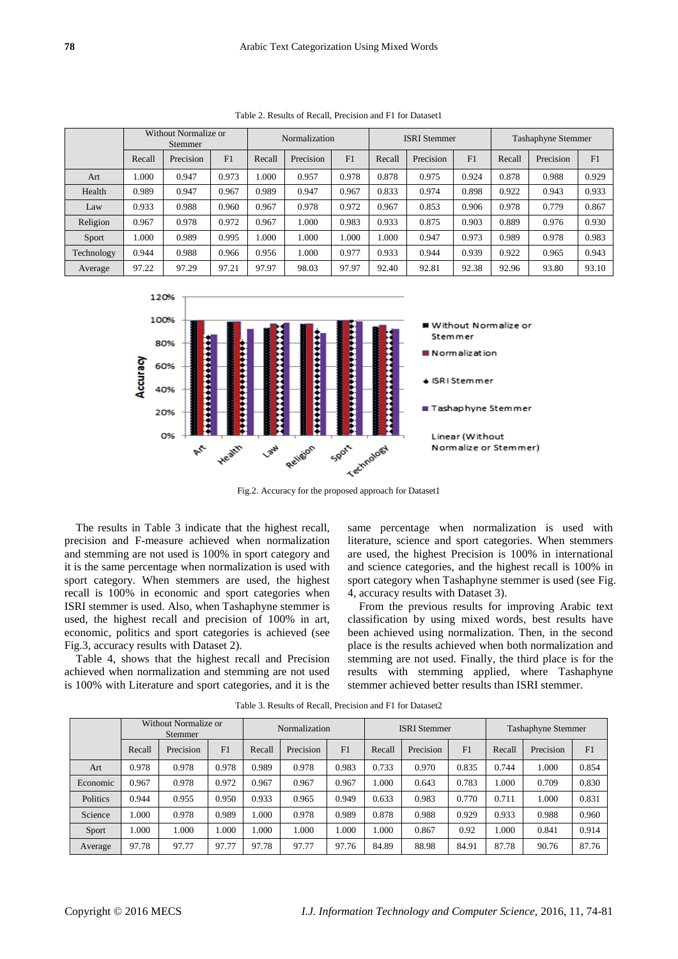Table 2. Results of Recall, Precision and F1 for Dataset1

| Without Normalize or<br>Stemmer |           |       | Normalization |           |                | <b>ISRI</b> Stemmer |           |                | <b>Tashaphyne Stemmer</b> |           |       |
|---------------------------------|-----------|-------|---------------|-----------|----------------|---------------------|-----------|----------------|---------------------------|-----------|-------|
| Recall                          | Precision | F1    | Recall        | Precision | F <sub>1</sub> | Recall              | Precision | F <sub>1</sub> | Recall                    | Precision | F1    |
| 1.000                           | 0.947     | 0.973 | 000.1         | 0.957     | 0.978          | 0.878               | 0.975     | 0.924          | 0.878                     | 0.988     | 0.929 |
| 0.989                           | 0.947     | 0.967 | 0.989         | 0.947     | 0.967          | 0.833               | 0.974     | 0.898          | 0.922                     | 0.943     | 0.933 |
| 0.933                           | 0.988     | 0.960 | 0.967         | 0.978     | 0.972          | 0.967               | 0.853     | 0.906          | 0.978                     | 0.779     | 0.867 |
| 0.967                           | 0.978     | 0.972 | 0.967         | 1.000     | 0.983          | 0.933               | 0.875     | 0.903          | 0.889                     | 0.976     | 0.930 |
| 1.000                           | 0.989     | 0.995 | 000.1         | 1.000     | 1.000          | 1.000               | 0.947     | 0.973          | 0.989                     | 0.978     | 0.983 |
| 0.944                           | 0.988     | 0.966 | 0.956         | 1.000     | 0.977          | 0.933               | 0.944     | 0.939          | 0.922                     | 0.965     | 0.943 |
| 97.22                           | 97.29     | 97.21 | 97.97         | 98.03     | 97.97          | 92.40               | 92.81     | 92.38          | 92.96                     | 93.80     | 93.10 |
|                                 |           |       |               |           |                |                     |           |                |                           |           |       |



Fig.2. Accuracy for the proposed approach for Dataset1

The results in Table 3 indicate that the highest recall, precision and F-measure achieved when normalization and stemming are not used is 100% in sport category and it is the same percentage when normalization is used with sport category. When stemmers are used, the highest recall is 100% in economic and sport categories when ISRI stemmer is used. Also, when Tashaphyne stemmer is used, the highest recall and precision of 100% in art, economic, politics and sport categories is achieved (see Fig.3, accuracy results with Dataset 2).

Table 4, shows that the highest recall and Precision achieved when normalization and stemming are not used is 100% with Literature and sport categories, and it is the

same percentage when normalization is used with literature, science and sport categories. When stemmers are used, the highest Precision is 100% in international and science categories, and the highest recall is 100% in sport category when Tashaphyne stemmer is used (see Fig. 4, accuracy results with Dataset 3).

From the previous results for improving Arabic text classification by using mixed words, best results have been achieved using normalization. Then, in the second place is the results achieved when both normalization and stemming are not used. Finally, the third place is for the results with stemming applied, where Tashaphyne stemmer achieved better results than ISRI stemmer.

|          | Without Normalize or<br>Stemmer |           |                | Normalization |           |       | <b>ISRI</b> Stemmer |           |       | <b>Tashaphyne Stemmer</b> |           |       |
|----------|---------------------------------|-----------|----------------|---------------|-----------|-------|---------------------|-----------|-------|---------------------------|-----------|-------|
|          | Recall                          | Precision | F <sub>1</sub> | Recall        | Precision | F1    | Recall              | Precision | F1    | Recall                    | Precision | F1    |
| Art      | 0.978                           | 0.978     | 0.978          | 0.989         | 0.978     | 0.983 | 0.733               | 0.970     | 0.835 | 0.744                     | 1.000     | 0.854 |
| Economic | 0.967                           | 0.978     | 0.972          | 0.967         | 0.967     | 0.967 | 1.000               | 0.643     | 0.783 | 1.000                     | 0.709     | 0.830 |
| Politics | 0.944                           | 0.955     | 0.950          | 0.933         | 0.965     | 0.949 | 0.633               | 0.983     | 0.770 | 0.711                     | 1.000     | 0.831 |
| Science  | .000                            | 0.978     | 0.989          | .000          | 0.978     | 0.989 | 0.878               | 0.988     | 0.929 | 0.933                     | 0.988     | 0.960 |
| Sport    | .000                            | .000      | .000           | .000          | 1.000     | .000  | 1.000               | 0.867     | 0.92  | 1.000                     | 0.841     | 0.914 |
| Average  | 97.78                           | 97.77     | 97.77          | 97.78         | 97.77     | 97.76 | 84.89               | 88.98     | 84.91 | 87.78                     | 90.76     | 87.76 |

Table 3. Results of Recall, Precision and F1 for Dataset2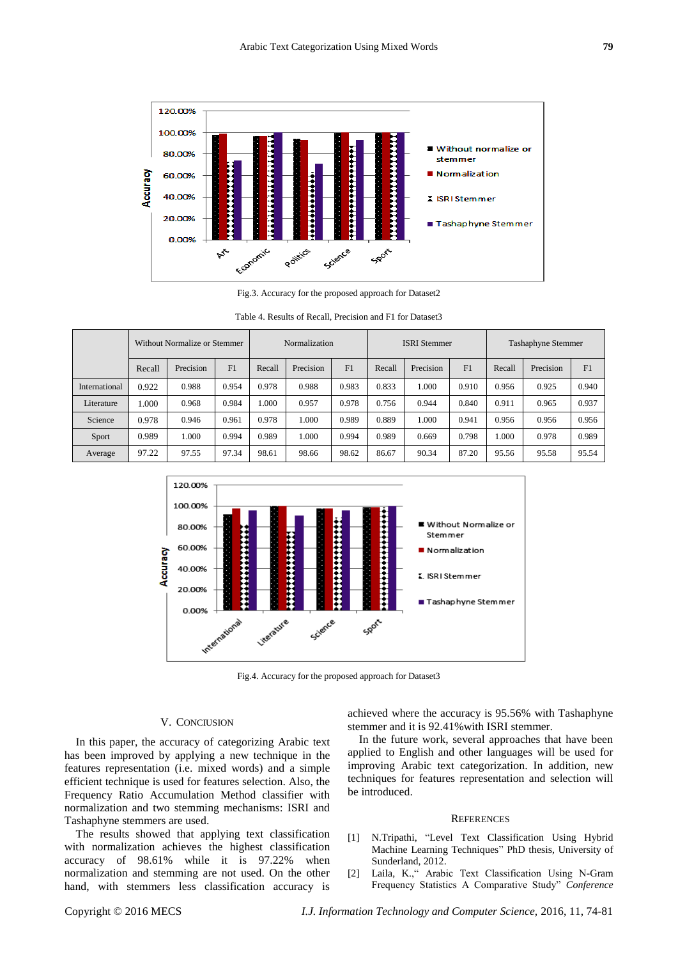

Fig.3. Accuracy for the proposed approach for Dataset2

|               | Without Normalize or Stemmer |           |       | Normalization |           |       | <b>ISRI</b> Stemmer |           |       | <b>Tashaphyne Stemmer</b> |           |       |
|---------------|------------------------------|-----------|-------|---------------|-----------|-------|---------------------|-----------|-------|---------------------------|-----------|-------|
|               | Recall                       | Precision | F1    | Recall        | Precision | F1    | Recall              | Precision | F1    | Recall                    | Precision | F1    |
| International | 0.922                        | 0.988     | 0.954 | 0.978         | 0.988     | 0.983 | 0.833               | 1.000     | 0.910 | 0.956                     | 0.925     | 0.940 |
| Literature    | 1.000                        | 0.968     | 0.984 | 1.000         | 0.957     | 0.978 | 0.756               | 0.944     | 0.840 | 0.911                     | 0.965     | 0.937 |
| Science       | 0.978                        | 0.946     | 0.961 | 0.978         | 1.000     | 0.989 | 0.889               | 1.000     | 0.941 | 0.956                     | 0.956     | 0.956 |
| Sport         | 0.989                        | 1.000     | 0.994 | 0.989         | 1.000     | 0.994 | 0.989               | 0.669     | 0.798 | 1.000                     | 0.978     | 0.989 |
| Average       | 97.22                        | 97.55     | 97.34 | 98.61         | 98.66     | 98.62 | 86.67               | 90.34     | 87.20 | 95.56                     | 95.58     | 95.54 |

Table 4. Results of Recall, Precision and F1 for Dataset3



Fig.4. Accuracy for the proposed approach for Dataset3

## V. CONCIUSION

In this paper, the accuracy of categorizing Arabic text has been improved by applying a new technique in the features representation (i.e. mixed words) and a simple efficient technique is used for features selection. Also, the Frequency Ratio Accumulation Method classifier with normalization and two stemming mechanisms: ISRI and Tashaphyne stemmers are used.

The results showed that applying text classification with normalization achieves the highest classification accuracy of 98.61% while it is 97.22% when normalization and stemming are not used. On the other hand, with stemmers less classification accuracy is achieved where the accuracy is 95.56% with Tashaphyne stemmer and it is 92.41%with ISRI stemmer.

In the future work, several approaches that have been applied to English and other languages will be used for improving Arabic text categorization. In addition, new techniques for features representation and selection will be introduced.

#### **REFERENCES**

- [1] N.Tripathi, "Level Text Classification Using Hybrid Machine Learning Techniques" PhD thesis, University of Sunderland, 2012.
- [2] Laila, K.," Arabic Text Classification Using N-Gram Frequency Statistics A Comparative Study" *Conference*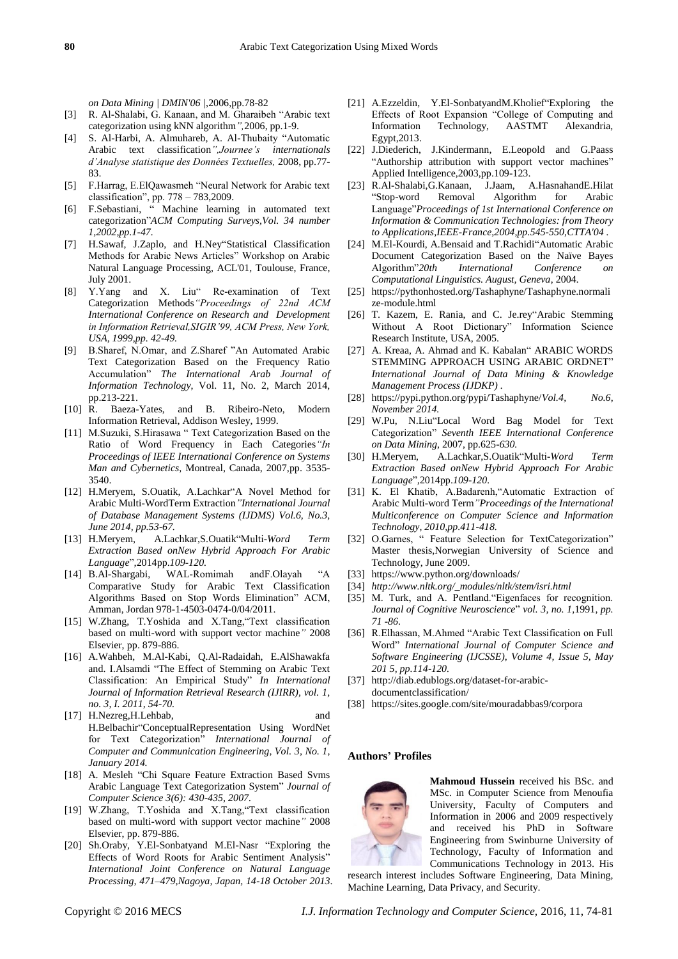*on Data Mining | DMIN'06 |*,2006,pp.78-82

- [3] R. Al-Shalabi, G. Kanaan, and M. Gharaibeh "Arabic text categorization using kNN algorithm*",*2006, pp.1-9.
- [4] S. Al-Harbi, A. Almuhareb, A. Al-Thubaity "Automatic Arabic text classification*",Journee's internationals d'Analyse statistique des Données Textuelles,* 2008, pp.77- 83.
- [5] F.Harrag, E.ElQawasmeh "Neural Network for Arabic text classification", pp. 778 – 783,2009.
- [6] F.Sebastiani, " Machine learning in automated text categorization"*ACM Computing Surveys,Vol. 34 number 1,2002,pp.1-47.*
- [7] H.Sawaf, J.Zaplo, and H.Ney"Statistical Classification Methods for Arabic News Articles" Workshop on Arabic Natural Language Processing, ACL'01, Toulouse, France, July 2001.
- [8] Y.Yang and X. Liu" Re-examination of Text Categorization Methods*"Proceedings of 22nd ACM International Conference on Research and Development in Information Retrieval,SIGIR'99, ACM Press, New York, USA, 1999,pp. 42-49.*
- [9] B.Sharef, N.Omar, and Z.Sharef "An Automated Arabic Text Categorization Based on the Frequency Ratio Accumulation" *The International Arab Journal of Information Technology*, Vol. 11, No. 2, March 2014, pp.213-221.
- [10] R. Baeza-Yates, and B. Ribeiro-Neto, Modern Information Retrieval, Addison Wesley, 1999.
- [11] M.Suzuki, S.Hirasawa " Text Categorization Based on the Ratio of Word Frequency in Each Categories*"In Proceedings of IEEE International Conference on Systems Man and Cybernetics*, Montreal, Canada, 2007,pp. 3535- 3540.
- [12] H.Meryem, S.Ouatik, A.Lachkar"A Novel Method for Arabic Multi-WordTerm Extraction*"International Journal of Database Management Systems (IJDMS) Vol.6, No.3, June 2014, pp.53-67.*
- [13] H.Meryem, A.Lachkar,S.Ouatik"Multi*-Word Term Extraction Based onNew Hybrid Approach For Arabic Language*"*,*2014pp.*109-120.*
- [14] B.Al-Shargabi, WAL-Romimah andF.Olayah "A Comparative Study for Arabic Text Classification Algorithms Based on Stop Words Elimination" ACM, Amman, Jordan 978-1-4503-0474-0/04/2011.
- [15] W.Zhang, T.Yoshida and X.Tang,"Text classification based on multi-word with support vector machine*"* 2008 Elsevier, pp. 879-886.
- [16] A.Wahbeh, M.Al-Kabi, Q.Al-Radaidah, E.AlShawakfa and. I.Alsamdi "The Effect of Stemming on Arabic Text Classification: An Empirical Study" *In International Journal of Information Retrieval Research (IJIRR), vol. 1, no. 3, I. 2011, 54-70.*
- [17] H.Nezreg,H.Lehbab, and H.Belbachir"ConceptualRepresentation Using WordNet for Text Categorization" *International Journal of Computer and Communication Engineering, Vol. 3, No. 1, January 2014.*
- [18] A. Mesleh "Chi Square Feature Extraction Based Svms Arabic Language Text Categorization System" *Journal of Computer Science 3(6): 430-435, 2007.*
- [19] W.Zhang, T.Yoshida and X.Tang,"Text classification based on multi-word with support vector machine*"* 2008 Elsevier, pp. 879-886.
- [20] Sh.Oraby, Y.El-Sonbatyand M.El-Nasr "Exploring the Effects of Word Roots for Arabic Sentiment Analysis" *International Joint Conference on Natural Language Processing, 471–479,Nagoya, Japan, 14-18 October 2013*.
- [21] A.Ezzeldin, Y.El-SonbatyandM.Kholief Exploring the Effects of Root Expansion "College of Computing and Information Technology, AASTMT Alexandria, Egypt,2013.
- [22] J.Diederich, J.Kindermann, E.Leopold and G.Paass "Authorship attribution with support vector machines" Applied Intelligence,2003,pp.109-123.
- [23] R.Al-Shalabi,G.Kanaan, J.Jaam, A.HasnahandE.Hilat "Stop-word Removal Algorithm for Arabic Language"*Proceedings of 1st International Conference on Information & Communication Technologies: from Theory to Applications,IEEE-France,2004,pp.545-550,CTTA'04 .*
- [24] M.El-Kourdi, A.Bensaid and T.Rachidi"Automatic Arabic Document Categorization Based on the Naïve Bayes<br>Algorithm"20th International Conference on  $International$  *Conference Computational Linguistics. August, Geneva*, 2004*.*
- [25] https://pythonhosted.org/Tashaphyne/Tashaphyne.normali ze-module.html
- [26] T. Kazem, E. Rania, and C. Je.rey"Arabic Stemming Without A Root Dictionary" Information Science Research Institute, USA, 2005.
- [27] A. Kreaa, A. Ahmad and K. Kabalan" ARABIC WORDS STEMMING APPROACH USING ARABIC ORDNET" *International Journal of Data Mining & Knowledge Management Process (IJDKP) .*
- [28] https://pypi.python.org/pypi/Tashaphyne/*Vol.4, No.6, November 2014.*
- [29] W.Pu, N.Liu"Local Word Bag Model for Text Categorization" *Seventh IEEE International Conference on Data Mining*, 2007, pp.625*-630.*
- [30] H.Meryem, A.Lachkar,S.Ouatik"Multi*-Word Term Extraction Based onNew Hybrid Approach For Arabic Language*"*,*2014pp.*109-120.*
- [31] K. El Khatib, A.Badarenh,"Automatic Extraction of Arabic Multi-word Term*"Proceedings of the International Multiconference on Computer Science and Information Technology, 2010,pp.411-418.*
- [32] O.Garnes, " Feature Selection for TextCategorization" Master thesis,Norwegian University of Science and Technology, June 2009.
- [33] https://www.python.org/downloads/
- [34] *http://www.nltk.org/\_modules/nltk/stem/isri.html*
- [35] M. Turk, and A. Pentland. "Eigenfaces for recognition. *Journal of Cognitive Neuroscience*" *vol. 3, no. 1,*1991, *pp. 71 -86*.
- [36] R.Elhassan, M.Ahmed "Arabic Text Classification on Full Word" *International Journal of Computer Science and Software Engineering (IJCSSE), Volume 4, Issue 5, May 201 5, pp.114-120.*
- [37] http://diab.edublogs.org/dataset-for-arabicdocumentclassification/
- [38] https://sites.google.com/site/mouradabbas9/corpora

## **Authors' Profiles**



**Mahmoud Hussein** received his BSc. and MSc. in Computer Science from Menoufia University, Faculty of Computers and Information in 2006 and 2009 respectively and received his PhD in Software Engineering from Swinburne University of Technology, Faculty of Information and Communications Technology in 2013. His

research interest includes Software Engineering, Data Mining, Machine Learning, Data Privacy, and Security.